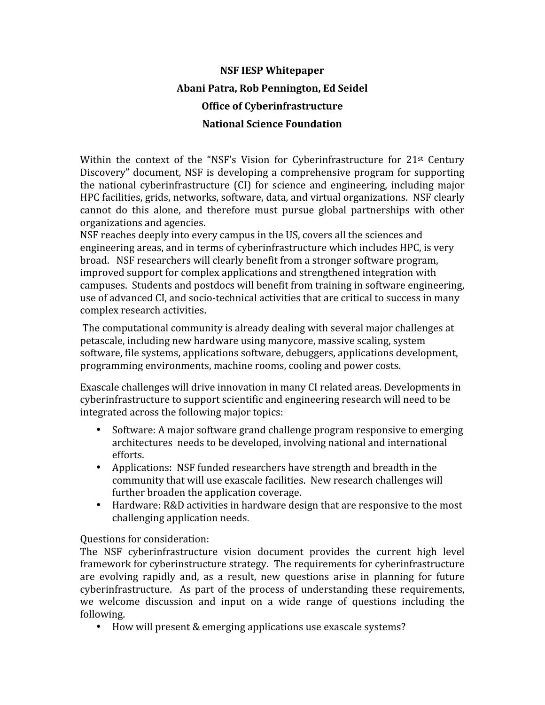## **NSF
IESP
Whitepaper Abani
Patra,
Rob
Pennington,
Ed
Seidel Office
of
Cyberinfrastructure National
Science
Foundation**

Within the context of the "NSF's Vision for Cyberinfrastructure for  $21$ <sup>st</sup> Century Discovery"
 document,
NSF
is
 developing
a comprehensive
 program
 for
 supporting the
 national
 cyberinfrastructure
 (CI)
 for
 science
 and
 engineering,
 including
 major HPC
facilities,
grids,
networks,
software,
data,
and
virtual
organizations.

NSF
clearly cannot
 do
 this
 alone,
 and
 therefore
 must
 pursue
 global
 partnerships
 with
 other organizations
and
agencies.

NSF
reaches
deeply
into
every
campus
in
the
US,
covers
all
the
sciences
and engineering
areas,
and
in
terms
of
cyberinfrastructure
which
includes
HPC,
is
very broad. NSF
researchers
will
clearly
benefit
from
a
stronger
software
program, improved
support
for
complex
applications
and
strengthened
integration
with campuses. Students
and
postdocs
will
benefit
from
training
in
software
engineering, use of advanced CI, and socio-technical activities that are critical to success in many complex
research
activities.

The
computational
community
is
already
dealing
with
several
major
challenges
at petascale,
including
new
hardware
using
manycore,
massive
scaling,
system software,
file
systems,
applications
software,
debuggers,
applications
development, programming
environments,
machine
rooms,
cooling
and
power
costs.

Exascale
challenges
will
drive
innovation
in
many
CI
related
areas.
Developments
in cyberinfrastructure
to
support
scientific
and
engineering
research
will
need
to
be integrated
across
the
following
major
topics:

- Software: A major software grand challenge program responsive to emerging architectures

needs
to
be
developed,
involving
national
and
international efforts.
- Applications: NSF funded researchers have strength and breadth in the community
that
will
use
exascale
facilities. New
research
challenges
will further broaden the application coverage.
- Hardware: R&D activities in hardware design that are responsive to the most challenging
application
needs.

## Questions
for
consideration:

The NSF cyberinfrastructure vision document provides the current high level framework for cyberinstructure strategy. The requirements for cyberinfrastructure are evolving rapidly and, as a result, new questions arise in planning for future cyberinfrastructure. As part of the process of understanding these requirements, we welcome discussion and input on a wide range of questions including the following.

• How
will
present
&
emerging
applications
use
exascale
systems?